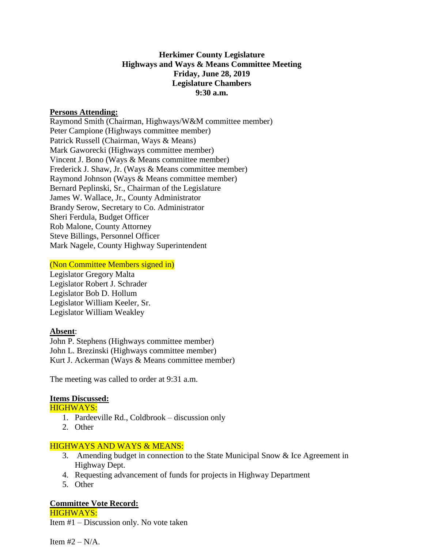#### **Herkimer County Legislature Highways and Ways & Means Committee Meeting Friday, June 28, 2019 Legislature Chambers 9:30 a.m.**

#### **Persons Attending:**

Raymond Smith (Chairman, Highways/W&M committee member) Peter Campione (Highways committee member) Patrick Russell (Chairman, Ways & Means) Mark Gaworecki (Highways committee member) Vincent J. Bono (Ways & Means committee member) Frederick J. Shaw, Jr. (Ways & Means committee member) Raymond Johnson (Ways & Means committee member) Bernard Peplinski, Sr., Chairman of the Legislature James W. Wallace, Jr., County Administrator Brandy Serow, Secretary to Co. Administrator Sheri Ferdula, Budget Officer Rob Malone, County Attorney Steve Billings, Personnel Officer Mark Nagele, County Highway Superintendent

#### (Non Committee Members signed in)

Legislator Gregory Malta Legislator Robert J. Schrader Legislator Bob D. Hollum Legislator William Keeler, Sr. Legislator William Weakley

# **Absent**:

John P. Stephens (Highways committee member) John L. Brezinski (Highways committee member) Kurt J. Ackerman (Ways & Means committee member)

The meeting was called to order at 9:31 a.m.

# **Items Discussed:**

HIGHWAYS:

- 1. Pardeeville Rd., Coldbrook discussion only
- 2. Other

# HIGHWAYS AND WAYS & MEANS:

- 3. Amending budget in connection to the State Municipal Snow & Ice Agreement in Highway Dept.
- 4. Requesting advancement of funds for projects in Highway Department
- 5. Other

# **Committee Vote Record:**

HIGHWAYS: Item #1 – Discussion only. No vote taken

Item  $#2 - N/A$ .